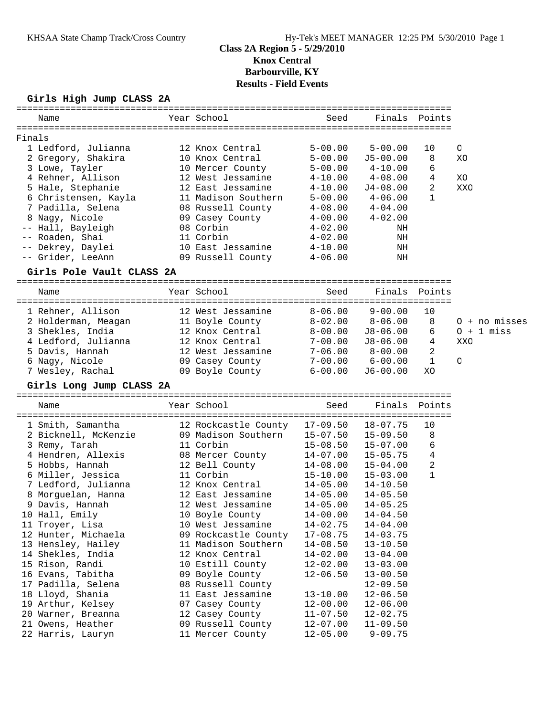# KHSAA State Champ Track/Cross Country Hy-Tek's MEET MANAGER 12:25 PM 5/30/2010 Page 1

# **Class 2A Region 5 - 5/29/2010 Knox Central Barbourville, KY Results - Field Events**

## **Girls High Jump CLASS 2A**

| =============<br>Name                     | Year School                                 | Seed                         | Finals                                | Points           |                 |
|-------------------------------------------|---------------------------------------------|------------------------------|---------------------------------------|------------------|-----------------|
|                                           |                                             |                              |                                       |                  |                 |
| Finals<br>1 Ledford, Julianna             | 12 Knox Central                             | $5 - 00.00$                  | $5 - 00.00$                           | 10               | O               |
| 2 Gregory, Shakira                        | 10 Knox Central                             | $5 - 00.00$                  | $J5 - 00.00$                          | 8                | XC              |
| 3 Lowe, Tayler                            | 10 Mercer County                            | $5 - 00.00$                  | $4 - 10.00$                           | 6                |                 |
| 4 Rehner, Allison                         | 12 West Jessamine                           | $4 - 10.00$                  | $4\negmedspace-\negmedspace08$ . $00$ | 4                | XO              |
| 5 Hale, Stephanie                         | 12 East Jessamine                           | $4 - 10.00$                  | J4-08.00                              | 2                | XXO             |
| 6 Christensen, Kayla                      | 11 Madison Southern                         | $5 - 00.00$                  | $4 - 06.00$                           | 1                |                 |
| 7 Padilla, Selena                         | 08 Russell County                           | $4 - 08.00$                  | $4 - 04.00$                           |                  |                 |
| 8 Nagy, Nicole                            | 09 Casey County                             | $4 - 00.00$                  | $4 - 02.00$                           |                  |                 |
| -- Hall, Bayleigh                         | 08 Corbin                                   | $4 - 02.00$                  | ΝH                                    |                  |                 |
| -- Roaden, Shai                           | 11 Corbin                                   | $4 - 02.00$                  | ΝH                                    |                  |                 |
| -- Dekrey, Daylei                         | 10 East Jessamine                           | $4 - 10.00$                  | ΝH                                    |                  |                 |
| -- Grider, LeeAnn                         | 09 Russell County                           | $4 - 06.00$                  | ΝH                                    |                  |                 |
| Girls Pole Vault CLASS 2A<br>============ | ==============                              |                              |                                       |                  |                 |
| Name                                      | Year School                                 | Seed                         | Finals                                | Points           |                 |
|                                           |                                             |                              |                                       |                  |                 |
| 1 Rehner, Allison                         | 12 West Jessamine                           | $8 - 06.00$                  | $9 - 00.00$                           | 10               |                 |
| 2 Holderman, Meagan                       | 11 Boyle County                             | $8 - 02.00$                  | $8 - 06.00$                           | 8                | $0 + no$ misses |
| 3 Shekles, India                          | 12 Knox Central                             | $8-00.00$                    | J8-06.00                              | 6                | $0 + 1$ miss    |
| 4 Ledford, Julianna                       | 12 Knox Central                             | 7-00.00                      | J8-06.00                              | 4                | XXO             |
| 5 Davis, Hannah<br>6 Nagy, Nicole         | 12 West Jessamine                           | $7 - 06.00$<br>$7 - 00.00$   | $8-00.00$<br>$6 - 00.00$              | 2<br>$\mathbf 1$ | O               |
| 7 Wesley, Rachal                          | 09 Casey County<br>09 Boyle County          | $6 - 00.00$                  | $J6 - 00.00$                          | XO               |                 |
|                                           |                                             |                              |                                       |                  |                 |
|                                           |                                             |                              |                                       |                  |                 |
| Girls Long Jump CLASS 2A                  |                                             |                              |                                       |                  |                 |
| Name                                      | Year School                                 | Seed                         | Finals                                | Points           |                 |
|                                           |                                             |                              | $18 - 07.75$                          | 10               |                 |
| 1 Smith, Samantha                         | 12 Rockcastle County<br>09 Madison Southern | $17 - 09.50$<br>$15 - 07.50$ | $15 - 09.50$                          | 8                |                 |
| 2 Bicknell, McKenzie<br>3 Remy, Tarah     | 11 Corbin                                   | $15 - 08.50$                 | $15 - 07.00$                          | 6                |                 |
| 4 Hendren, Allexis                        | 08 Mercer County                            | 14-07.00                     | $15 - 05.75$                          | $\overline{4}$   |                 |
| 5 Hobbs, Hannah                           | 12 Bell County                              | $14 - 08.00$                 | $15 - 04.00$                          | 2                |                 |
| 6 Miller, Jessica                         | 11 Corbin                                   | $15 - 10.00$                 | $15 - 03.00$                          | $\mathbf 1$      |                 |
| 7 Ledford, Julianna                       | 12 Knox Central                             | $14 - 05.00$                 | $14 - 10.50$                          |                  |                 |
| 8 Morguelan, Hanna                        | 12 East Jessamine                           | $14 - 05.00$                 | $14 - 05.50$                          |                  |                 |
| 9 Davis, Hannah                           | 12 West Jessamine                           | $14 - 05.00$                 | $14 - 05.25$                          |                  |                 |
| 10 Hall, Emily                            | 10 Boyle County                             | $14 - 00.00$                 | $14 - 04.50$                          |                  |                 |
| 11 Troyer, Lisa                           | 10 West Jessamine                           | $14 - 02.75$                 | $14 - 04.00$                          |                  |                 |
| 12 Hunter, Michaela                       | 09 Rockcastle County                        | $17 - 08.75$                 | $14 - 03.75$                          |                  |                 |
| 13 Hensley, Hailey                        | 11 Madison Southern                         | $14 - 08.50$                 | $13 - 10.50$                          |                  |                 |
| 14 Shekles, India                         | 12 Knox Central                             | $14 - 02.00$                 | $13 - 04.00$                          |                  |                 |
| 15 Rison, Randi                           | 10 Estill County                            | $12 - 02.00$                 | $13 - 03.00$                          |                  |                 |
| 16 Evans, Tabitha                         | 09 Boyle County                             | $12 - 06.50$                 | $13 - 00.50$                          |                  |                 |
| 17 Padilla, Selena                        | 08 Russell County                           |                              | $12 - 09.50$                          |                  |                 |
| 18 Lloyd, Shania                          | 11 East Jessamine                           | $13 - 10.00$                 | $12 - 06.50$                          |                  |                 |
| 19 Arthur, Kelsey                         | 07 Casey County                             | $12 - 00.00$                 | $12 - 06.00$                          |                  |                 |
| 20 Warner, Breanna                        | 12 Casey County                             | $11 - 07.50$                 | $12 - 02.75$                          |                  |                 |
| 21 Owens, Heather<br>22 Harris, Lauryn    | 09 Russell County<br>11 Mercer County       | $12 - 07.00$<br>$12 - 05.00$ | $11 - 09.50$<br>$9 - 09.75$           |                  |                 |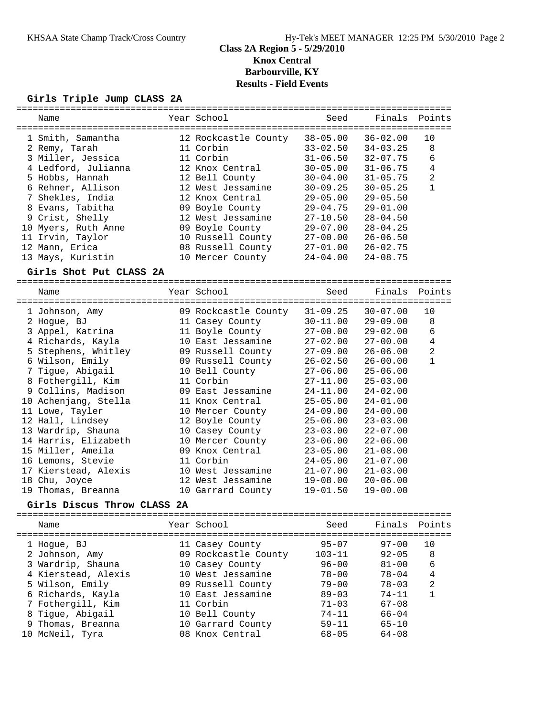# **Class 2A Region 5 - 5/29/2010 Knox Central Barbourville, KY Results - Field Events**

## **Girls Triple Jump CLASS 2A**

| Name                        | Year School          | Seed         | Finals Points |                |
|-----------------------------|----------------------|--------------|---------------|----------------|
| 1 Smith, Samantha           | 12 Rockcastle County | $38 - 05.00$ | $36 - 02.00$  | 10             |
| 2 Remy, Tarah               | 11 Corbin            | $33 - 02.50$ | $34 - 03.25$  | 8              |
| 3 Miller, Jessica           | 11 Corbin            | $31 - 06.50$ | $32 - 07.75$  | 6              |
| 4 Ledford, Julianna         | 12 Knox Central      | $30 - 05.00$ | $31 - 06.75$  | $\overline{4}$ |
| 5 Hobbs, Hannah             | 12 Bell County       | $30 - 04.00$ | $31 - 05.75$  | 2              |
| 6 Rehner, Allison           | 12 West Jessamine    | $30 - 09.25$ | $30 - 05.25$  | $\mathbf{1}$   |
| 7 Shekles, India            | 12 Knox Central      | $29 - 05.00$ | $29 - 05.50$  |                |
| 8 Evans, Tabitha            | 09 Boyle County      | $29 - 04.75$ | $29 - 01.00$  |                |
| 9 Crist, Shelly             | 12 West Jessamine    | $27 - 10.50$ | $28 - 04.50$  |                |
| 10 Myers, Ruth Anne         | 09 Boyle County      | $29 - 07.00$ | $28 - 04.25$  |                |
| 11 Irvin, Taylor            | 10 Russell County    | $27 - 00.00$ | $26 - 06.50$  |                |
| 12 Mann, Erica              | 08 Russell County    | $27 - 01.00$ | $26 - 02.75$  |                |
| 13 Mays, Kuristin           | 10 Mercer County     | $24 - 04.00$ | $24 - 08.75$  |                |
| Girls Shot Put CLASS 2A     |                      |              |               |                |
| Name                        | Year School          | Seed         | Finals        | Points         |
|                             |                      |              |               |                |
| 1 Johnson, Amy              | 09 Rockcastle County | $31 - 09.25$ | $30 - 07.00$  | 10             |
| 2 Hogue, BJ                 | 11 Casey County      | $30 - 11.00$ | $29 - 09.00$  | 8              |
| 3 Appel, Katrina            | 11 Boyle County      | $27 - 00.00$ | $29 - 02.00$  | 6              |
| 4 Richards, Kayla           | 10 East Jessamine    | $27 - 02.00$ | $27 - 00.00$  | $\overline{4}$ |
| 5 Stephens, Whitley         | 09 Russell County    | $27 - 09.00$ | $26 - 06.00$  | $\overline{a}$ |
| 6 Wilson, Emily             | 09 Russell County    | $26 - 02.50$ | $26 - 00.00$  | $\mathbf{1}$   |
| 7 Tigue, Abigail            | 10 Bell County       | $27 - 06.00$ | $25 - 06.00$  |                |
| 8 Fothergill, Kim           | 11 Corbin            | $27 - 11.00$ | $25 - 03.00$  |                |
| 9 Collins, Madison          | 09 East Jessamine    | $24 - 11.00$ | $24 - 02.00$  |                |
| 10 Achenjang, Stella        | 11 Knox Central      | $25 - 05.00$ | $24 - 01.00$  |                |
| 11 Lowe, Tayler             | 10 Mercer County     | $24 - 09.00$ | $24 - 00.00$  |                |
| 12 Hall, Lindsey            | 12 Boyle County      | $25 - 06.00$ | $23 - 03.00$  |                |
| 13 Wardrip, Shauna          | 10 Casey County      | $23 - 03.00$ | $22 - 07.00$  |                |
| 14 Harris, Elizabeth        | 10 Mercer County     | $23 - 06.00$ | $22 - 06.00$  |                |
| 15 Miller, Ameila           | 09 Knox Central      | $23 - 05.00$ | $21 - 08.00$  |                |
| 16 Lemons, Stevie           | 11 Corbin            | $24 - 05.00$ | $21 - 07.00$  |                |
| 17 Kierstead, Alexis        | 10 West Jessamine    | $21 - 07.00$ | $21 - 03.00$  |                |
| 18 Chu, Joyce               | 12 West Jessamine    | $19 - 08.00$ | $20 - 06.00$  |                |
| 19 Thomas, Breanna          | 10 Garrard County    | $19 - 01.50$ | $19 - 00.00$  |                |
| Girls Discus Throw CLASS 2A |                      |              |               |                |
| Name                        | Year School          | Seed         | Finals        | Points         |
|                             |                      |              |               |                |
| 1 Hoque, BJ                 | 11 Casey County      | $95 - 07$    | $97 - 00$     | 10             |
| 2 Johnson, Amy              | 09 Rockcastle County | $103 - 11$   | $92 - 05$     | 8              |
| 3 Wardrip, Shauna           | 10 Casey County      | $96 - 00$    | $81 - 00$     | 6              |
| 4 Kierstead, Alexis         | 10 West Jessamine    | $78 - 00$    | $78 - 04$     | 4              |
| 5 Wilson, Emily             | 09 Russell County    | $79 - 00$    | $78 - 03$     | $\overline{c}$ |
| 6 Richards, Kayla           | 10 East Jessamine    | $89 - 03$    | 74-11         | 1              |
| 7 Fothergill, Kim           | 11 Corbin            | $71 - 03$    | $67 - 08$     |                |
| 8 Tigue, Abigail            | 10 Bell County       | $74 - 11$    | $66 - 04$     |                |
| 9 Thomas, Breanna           | 10 Garrard County    | $59 - 11$    | $65 - 10$     |                |
| 10 McNeil, Tyra             | 08 Knox Central      | $68 - 05$    | $64 - 08$     |                |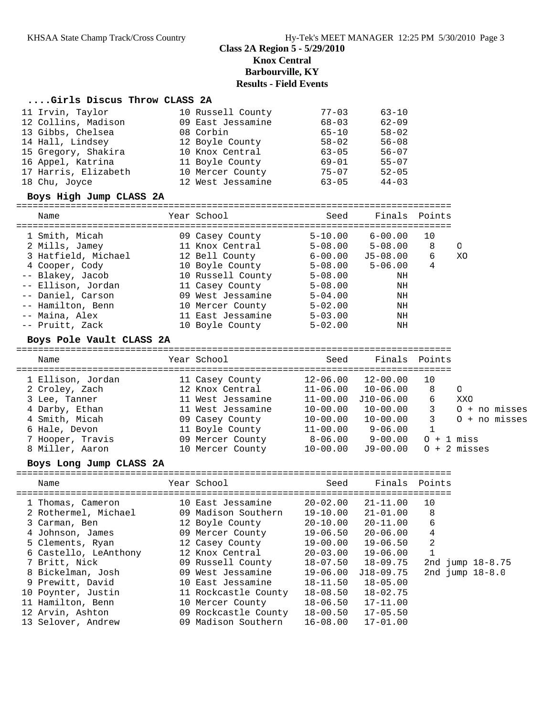# **Class 2A Region 5 - 5/29/2010 Knox Central Barbourville, KY Results - Field Events**

## **....Girls Discus Throw CLASS 2A**

| 11 Irvin, Taylor     | 10 Russell County | $77 - 03$ | $63 - 10$ |
|----------------------|-------------------|-----------|-----------|
| 12 Collins, Madison  | 09 East Jessamine | $68 - 03$ | $62 - 09$ |
| 13 Gibbs, Chelsea    | 08 Corbin         | $65 - 10$ | $58 - 02$ |
| 14 Hall, Lindsey     | 12 Boyle County   | $58 - 02$ | $56 - 08$ |
| 15 Gregory, Shakira  | 10 Knox Central   | $63 - 05$ | $56 - 07$ |
| 16 Appel, Katrina    | 11 Boyle County   | $69 - 01$ | $55 - 07$ |
| 17 Harris, Elizabeth | 10 Mercer County  | $75 - 07$ | $52 - 05$ |
| 18 Chu, Joyce        | 12 West Jessamine | $63 - 05$ | $44 - 03$ |

## **Boys High Jump CLASS 2A**

| Name                            | Year School               | Seed        | Finals Points |  |
|---------------------------------|---------------------------|-------------|---------------|--|
| 1 Smith, Micah                  | 09 Casey County           | $5 - 10.00$ | 6-00.00 10    |  |
| $0 \text{ M}$ ; $11a$ $T$ omorr | $11$ $V$ nove $O$ ontroal | E OO OO     | E NO NO       |  |

| 2 Mills, Jamey      | 11 Knox Central   | $5 - 08.00$ | $5 - 08.00$ |   | $\Omega$ |
|---------------------|-------------------|-------------|-------------|---|----------|
| 3 Hatfield, Michael | 12 Bell County    | 6-00.00     | J5-08.00    | 6 | XO       |
| 4 Cooper, Cody      | 10 Boyle County   | 5-08.00     | $5 - 06.00$ | 4 |          |
| -- Blakey, Jacob    | 10 Russell County | $5 - 08.00$ | ΝH          |   |          |
| -- Ellison, Jordan  | 11 Casey County   | $5 - 08.00$ | ΝH          |   |          |
| -- Daniel, Carson   | 09 West Jessamine | $5 - 04.00$ | ΝH          |   |          |
| -- Hamilton, Benn   | 10 Mercer County  | $5 - 02.00$ | ΝH          |   |          |
| -- Maina, Alex      | 11 East Jessamine | $5 - 03.00$ | ΝH          |   |          |
| -- Pruitt, Zack     | 10 Boyle County   | $5 - 02.00$ | ΝH          |   |          |
|                     |                   |             |             |   |          |

#### **Boys Pole Vault CLASS 2A**

| Name              | Year School       | Seed         | Finals Points |              |                 |
|-------------------|-------------------|--------------|---------------|--------------|-----------------|
| 1 Ellison, Jordan | 11 Casey County   | $12 - 06.00$ | $12 - 00.00$  | 10           |                 |
| 2 Croley, Zach    | 12 Knox Central   | $11 - 06.00$ | $10 - 06.00$  | 8            | $\Omega$        |
| 3 Lee, Tanner     | 11 West Jessamine | $11 - 00.00$ | $J10-06.00$   | 6            | XXO             |
| 4 Darby, Ethan    | 11 West Jessamine | $10 - 00.00$ | $10 - 00.00$  | 3            | $0 + no$ misses |
| 4 Smith, Micah    | 09 Casey County   | $10 - 00.00$ | $10 - 00.00$  | 3            | $0 + no$ misses |
| 6 Hale, Devon     | 11 Boyle County   | $11 - 00.00$ | $9 - 06.00$   |              |                 |
| 7 Hooper, Travis  | 09 Mercer County  | $8 - 06.00$  | $9 - 00.00$   | $0 + 1$ miss |                 |
| 8 Miller, Aaron   | 10 Mercer County  | $10 - 00.00$ | $J9-00.00$    |              | $0 + 2$ misses  |

#### **Boys Long Jump CLASS 2A**

## ================================================================================

| Name |                                                                                                                                                                                                                                                                            | Seed                                                                                                                                                                                                                                                                                           |              |    |                                    |
|------|----------------------------------------------------------------------------------------------------------------------------------------------------------------------------------------------------------------------------------------------------------------------------|------------------------------------------------------------------------------------------------------------------------------------------------------------------------------------------------------------------------------------------------------------------------------------------------|--------------|----|------------------------------------|
|      |                                                                                                                                                                                                                                                                            | $20 - 02.00$                                                                                                                                                                                                                                                                                   | $21 - 11.00$ | 10 |                                    |
|      |                                                                                                                                                                                                                                                                            | $19 - 10.00$                                                                                                                                                                                                                                                                                   | $21 - 01.00$ | 8  |                                    |
|      |                                                                                                                                                                                                                                                                            | $20 - 10.00$                                                                                                                                                                                                                                                                                   | $20 - 11.00$ | 6  |                                    |
|      |                                                                                                                                                                                                                                                                            | 19-06.50                                                                                                                                                                                                                                                                                       | $20 - 06.00$ | 4  |                                    |
|      |                                                                                                                                                                                                                                                                            | $19 - 00.00$                                                                                                                                                                                                                                                                                   | $19 - 06.50$ | 2  |                                    |
|      |                                                                                                                                                                                                                                                                            | $20 - 03.00$                                                                                                                                                                                                                                                                                   | 19-06.00     |    |                                    |
|      |                                                                                                                                                                                                                                                                            | $18 - 07.50$                                                                                                                                                                                                                                                                                   | 18-09.75     |    | 2nd jump 18-8.75                   |
|      |                                                                                                                                                                                                                                                                            | 19-06.00                                                                                                                                                                                                                                                                                       | $J18-09.75$  |    |                                    |
|      |                                                                                                                                                                                                                                                                            | $18 - 11.50$                                                                                                                                                                                                                                                                                   | $18 - 05.00$ |    |                                    |
|      |                                                                                                                                                                                                                                                                            | 18-08.50                                                                                                                                                                                                                                                                                       | $18 - 02.75$ |    |                                    |
|      |                                                                                                                                                                                                                                                                            | $18 - 06.50$                                                                                                                                                                                                                                                                                   | $17 - 11.00$ |    |                                    |
|      |                                                                                                                                                                                                                                                                            | 18-00.50                                                                                                                                                                                                                                                                                       | $17 - 05.50$ |    |                                    |
|      |                                                                                                                                                                                                                                                                            | 16-08.00                                                                                                                                                                                                                                                                                       | $17 - 01.00$ |    |                                    |
|      | 1 Thomas, Cameron<br>2 Rothermel, Michael<br>3 Carman, Ben<br>4 Johnson, James<br>5 Clements, Ryan<br>6 Castello, LeAnthony<br>7 Britt, Nick<br>8 Bickelman, Josh<br>9 Prewitt, David<br>10 Poynter, Justin<br>11 Hamilton, Benn<br>12 Arvin, Ashton<br>13 Selover, Andrew | Year School<br>10 East Jessamine<br>09 Madison Southern<br>12 Boyle County<br>09 Mercer County<br>12 Casey County<br>12 Knox Central<br>09 Russell County<br>09 West Jessamine<br>10 East Jessamine<br>11 Rockcastle County<br>10 Mercer County<br>09 Rockcastle County<br>09 Madison Southern |              |    | Finals Points<br>2nd $jump 18-8.0$ |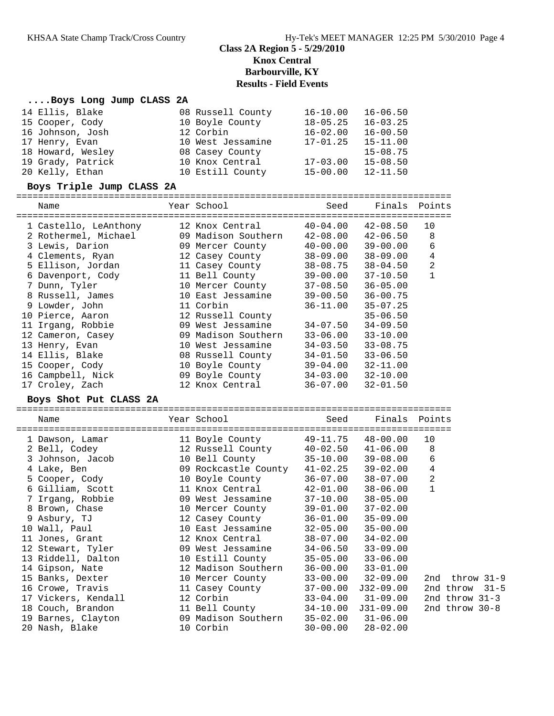# **Class 2A Region 5 - 5/29/2010 Knox Central Barbourville, KY Results - Field Events**

# **....Boys Long Jump CLASS 2A**<br>14 Ellis Blake 08

| 14 Ellis, Blake                      | 08 Russell County                      | $16 - 10.00$                 | $16 - 06.50$                 |                     |
|--------------------------------------|----------------------------------------|------------------------------|------------------------------|---------------------|
| 15 Cooper, Cody                      | 10 Boyle County                        | $18 - 05.25$                 | $16 - 03.25$                 |                     |
| 16 Johnson, Josh                     | 12 Corbin                              |                              | $16-02.00$ $16-00.50$        |                     |
| 17 Henry, Evan                       | 10 West Jessamine                      | 17-01.25                     | $15 - 11.00$                 |                     |
| 18 Howard, Wesley                    | 08 Casey County                        |                              | $15 - 08.75$                 |                     |
| 19 Grady, Patrick                    | 10 Knox Central                        |                              | $17-03.00$ $15-08.50$        |                     |
| 20 Kelly, Ethan                      | 10 Estill County                       | $15 - 00.00$                 | $12 - 11.50$                 |                     |
| Boys Triple Jump CLASS 2A            |                                        |                              |                              |                     |
| Name                                 | Year School                            | Seed                         |                              | Finals Points       |
|                                      |                                        |                              |                              |                     |
| 1 Castello, LeAnthony                | 12 Knox Central                        |                              | $40 - 04.00$ $42 - 08.50$    | 10                  |
| 2 Rothermel, Michael                 | 09 Madison Southern                    |                              | $42 - 08.00$ $42 - 06.50$    | 8                   |
| 3 Lewis, Darion                      | 09 Mercer County                       |                              | $40 - 00.00$ $39 - 00.00$    | 6                   |
| 4 Clements, Ryan                     | 12 Casey County<br>11 Casey County     |                              | $38 - 09.00$ $38 - 09.00$    | 4                   |
| 5 Ellison, Jordan                    |                                        |                              | $38 - 08.75$ $38 - 04.50$    | 2                   |
| 6 Davenport, Cody                    | 11 Bell County                         |                              | $39 - 00.00$ $37 - 10.50$    | $\mathbf{1}$        |
| 7 Dunn, Tyler                        | 10 Mercer County                       | $37 - 08.50$                 | $36 - 05.00$                 |                     |
| 8 Russell, James                     | 10 East Jessamine                      | 39-00.50                     | $36 - 00.75$                 |                     |
| 9 Lowder, John                       | 11 Corbin                              | $36 - 11.00$                 | $35 - 07.25$                 |                     |
| 10 Pierce, Aaron                     | 12 Russell County                      |                              | $35 - 06.50$                 |                     |
| 11 Irgang, Robbie                    | 09 West Jessamine                      |                              | $34-07.50$ $34-09.50$        |                     |
| 12 Cameron, Casey                    | 09 Madison Southern                    |                              | $33-06.00$ $33-10.00$        |                     |
| 13 Henry, Evan                       | 10 West Jessamine                      |                              | $34-03.50$ $33-08.75$        |                     |
| 14 Ellis, Blake                      | 08 Russell County                      |                              | $34 - 01.50$ $33 - 06.50$    |                     |
| 15 Cooper, Cody                      | 10 Boyle County                        |                              | 39-04.00 32-11.00            |                     |
| 16 Campbell, Nick                    | 09 Boyle County                        |                              | $34-03.00$ $32-10.00$        |                     |
| 17 Croley, Zach                      | 12 Knox Central                        | 36-07.00                     | $32 - 01.50$                 |                     |
|                                      |                                        |                              |                              |                     |
| Boys Shot Put CLASS 2A               |                                        |                              |                              |                     |
| Name                                 | Year School                            | Seed                         |                              | Finals Points       |
|                                      |                                        |                              |                              |                     |
| 1 Dawson, Lamar                      | 11 Boyle County 49-11.75 48-00.00      |                              |                              | 10                  |
| 2 Bell, Codey                        | 12 Russell County 40-02.50 41-06.00    |                              |                              | 8                   |
| 3 Johnson, Jacob                     | 10 Bell County                         |                              | $35 - 10.00$ $39 - 08.00$    | 6                   |
| 4 Lake, Ben                          | 09 Rockcastle County 41-02.25 39-02.00 |                              |                              | 4                   |
| 5 Cooper, Cody                       | 10 Boyle County                        |                              | $36 - 07.00$ $38 - 07.00$    | $\sqrt{2}$          |
| 6 Gilliam, Scott                     | 11 Knox Central                        |                              | 42-01.00 38-06.00            | $\mathbf 1$         |
| 7 Irgang, Robbie                     | 09 West Jessamine                      | $37 - 10.00$                 | $38 - 05.00$                 |                     |
| 8 Brown, Chase                       | 10 Mercer County                       | 39-01.00                     | $37 - 02.00$                 |                     |
| 9 Asbury, TJ                         | 12 Casey County                        | $36 - 01.00$                 | $35 - 09.00$                 |                     |
| 10 Wall, Paul                        | 10 East Jessamine                      | $32 - 05.00$                 | $35 - 00.00$                 |                     |
| 11 Jones, Grant                      | 12 Knox Central                        | $38 - 07.00$                 | $34 - 02.00$                 |                     |
| 12 Stewart, Tyler                    | 09 West Jessamine                      | $34 - 06.50$                 | $33 - 09.00$                 |                     |
| 13 Riddell, Dalton                   | 10 Estill County                       | $35 - 05.00$                 | $33 - 06.00$                 |                     |
| 14 Gipson, Nate                      | 12 Madison Southern                    | $36 - 00.00$                 | $33 - 01.00$                 |                     |
| 15 Banks, Dexter                     | 10 Mercer County                       | $33 - 00.00$                 | $32 - 09.00$                 | $throw$ 31-9<br>2nd |
| 16 Crowe, Travis                     | 11 Casey County                        | $37 - 00.00$                 | $J32-09.00$                  | 2nd throw           |
| 17 Vickers, Kendall                  | 12 Corbin                              | $33 - 04.00$                 | $31 - 09.00$                 | 2nd throw $31-3$    |
| 18 Couch, Brandon                    | 11 Bell County                         | $34 - 10.00$                 | $J31-09.00$                  | 2nd throw $30-8$    |
| 19 Barnes, Clayton<br>20 Nash, Blake | 09 Madison Southern<br>10 Corbin       | $35 - 02.00$<br>$30 - 00.00$ | $31 - 06.00$<br>$28 - 02.00$ |                     |